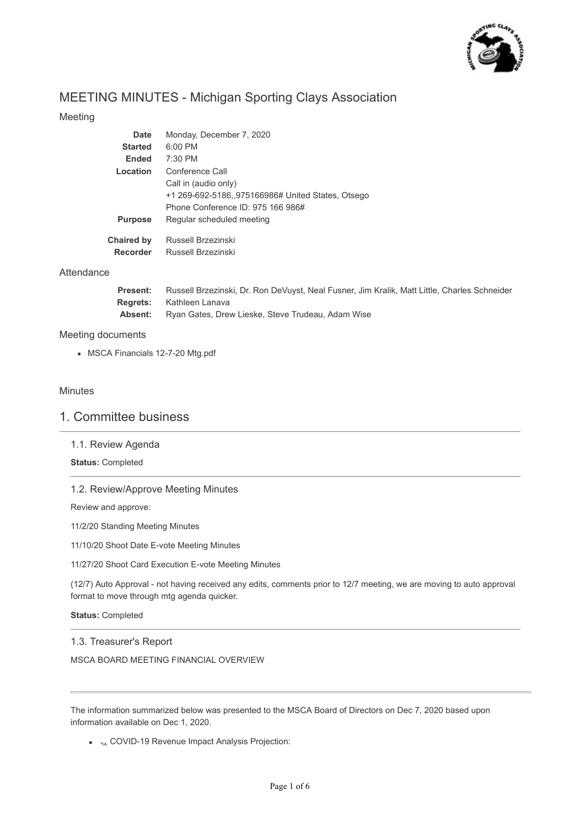

# MEETING MINUTES - Michigan Sporting Clays Association

## Meeting

| Date           | Monday, December 7, 2020                          |
|----------------|---------------------------------------------------|
| <b>Started</b> | $6:00$ PM                                         |
| <b>Ended</b>   | $7:30$ PM                                         |
| Location       | Conference Call                                   |
|                | Call in (audio only)                              |
|                | +1 269-692-5186,,975166986# United States, Otsego |
|                | Phone Conference ID: 975 166 986#                 |
| <b>Purpose</b> | Regular scheduled meeting                         |
| Chaired by     | Russell Brzezinski                                |
| Recorder       | Russell Brzezinski                                |

## Attendance

| <b>Present:</b> | Russell Brzezinski, Dr. Ron DeVuyst, Neal Fusner, Jim Kralik, Matt Little, Charles Schneider |
|-----------------|----------------------------------------------------------------------------------------------|
| <b>Rearets:</b> | Kathleen Lanava                                                                              |
| Absent:         | Ryan Gates, Drew Lieske, Steve Trudeau, Adam Wise                                            |

## Meeting documents

MSCA Financials 12-7-20 Mtg.pdf

## Minutes

## 1. Committee business

## 1.1. Review Agenda

## **Status:** Completed

## 1.2. Review/Approve Meeting Minutes

Review and approve:

11/2/20 Standing Meeting Minutes

11/10/20 Shoot Date E-vote Meeting Minutes

11/27/20 Shoot Card Execution E-vote Meeting Minutes

(12/7) Auto Approval - not having received any edits, comments prior to 12/7 meeting, we are moving to auto approval format to move through mtg agenda quicker.

#### **Status:** Completed

## 1.3. Treasurer's Report

MSCA BOARD MEETING FINANCIAL OVERVIEW

The information summarized below was presented to the MSCA Board of Directors on Dec 7, 2020 based upon information available on Dec 1, 2020.

 $\bullet$  <sub>7</sub> COVID-19 Revenue Impact Analysis Projection: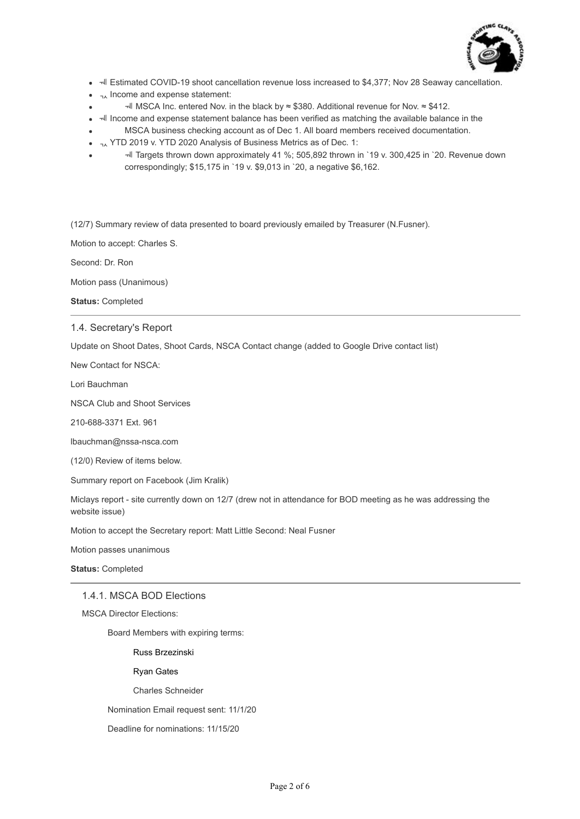

- $\overline{=}$  Estimated COVID-19 shoot cancellation revenue loss increased to \$4,377; Nov 28 Seaway cancellation.
- $\bullet$   $\lambda$  Income and expense statement:
- $\pm$  MSCA Inc. entered Nov. in the black by ≈ \$380. Additional revenue for Nov. ≈ \$412.
- Income and expense statement balance has been verified as matching the available balance in the
- MSCA business checking account as of Dec 1. All board members received documentation.
- $\bullet$  <sub>7</sub> YTD 2019 v. YTD 2020 Analysis of Business Metrics as of Dec. 1:
- Targets thrown down approximately 41 %; 505,892 thrown in `19 v. 300,425 in `20. Revenue down correspondingly; \$15,175 in `19 v. \$9,013 in `20, a negative \$6,162.

(12/7) Summary review of data presented to board previously emailed by Treasurer (N.Fusner).

Motion to accept: Charles S.

Second: Dr. Ron

Motion pass (Unanimous)

**Status:** Completed

## 1.4. Secretary's Report

Update on Shoot Dates, Shoot Cards, NSCA Contact change (added to Google Drive contact list)

New Contact for NSCA:

Lori Bauchman

NSCA Club and Shoot Services

210-688-3371 Ext. 961

lbauchman@nssa-nsca.com

(12/0) Review of items below.

Summary report on Facebook (Jim Kralik)

Miclays report - site currently down on 12/7 (drew not in attendance for BOD meeting as he was addressing the website issue)

Motion to accept the Secretary report: Matt Little Second: Neal Fusner

Motion passes unanimous

**Status:** Completed

#### 1.4.1. MSCA BOD Elections

MSCA Director Elections:

Board Members with expiring terms:

Russ Brzezinski

Ryan Gates

Charles Schneider

Nomination Email request sent: 11/1/20

Deadline for nominations: 11/15/20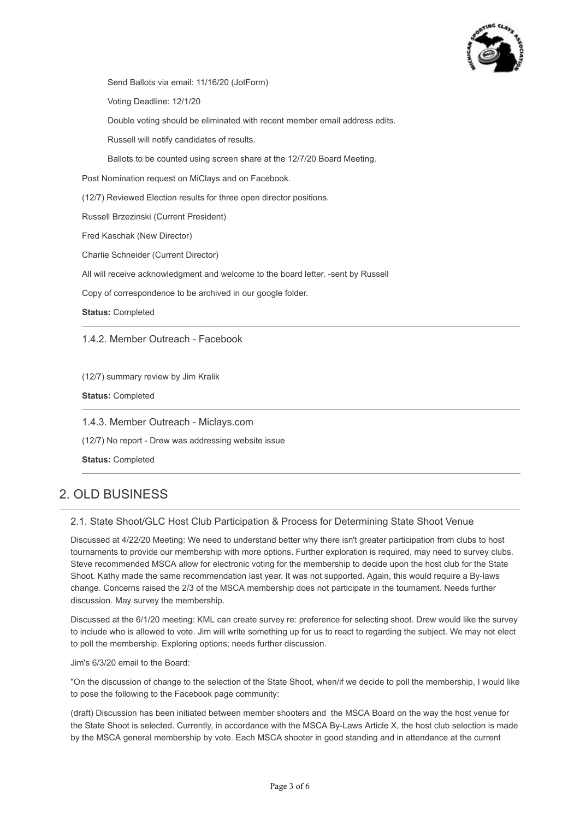

Send Ballots via email: 11/16/20 (JotForm)

Voting Deadline: 12/1/20

Double voting should be eliminated with recent member email address edits.

Russell will notify candidates of results.

Ballots to be counted using screen share at the 12/7/20 Board Meeting.

Post Nomination request on MiClays and on Facebook.

(12/7) Reviewed Election results for three open director positions.

Russell Brzezinski (Current President)

Fred Kaschak (New Director)

Charlie Schneider (Current Director)

All will receive acknowledgment and welcome to the board letter. -sent by Russell

Copy of correspondence to be archived in our google folder.

**Status:** Completed

1.4.2. Member Outreach - Facebook

(12/7) summary review by Jim Kralik

**Status:** Completed

1.4.3. Member Outreach - Miclays.com

(12/7) No report - Drew was addressing website issue

**Status:** Completed

# 2. OLD BUSINESS

2.1. State Shoot/GLC Host Club Participation & Process for Determining State Shoot Venue

Discussed at 4/22/20 Meeting: We need to understand better why there isn't greater participation from clubs to host tournaments to provide our membership with more options. Further exploration is required, may need to survey clubs. Steve recommended MSCA allow for electronic voting for the membership to decide upon the host club for the State Shoot. Kathy made the same recommendation last year. It was not supported. Again, this would require a By-laws change. Concerns raised the 2/3 of the MSCA membership does not participate in the tournament. Needs further discussion. May survey the membership.

Discussed at the 6/1/20 meeting: KML can create survey re: preference for selecting shoot. Drew would like the survey to include who is allowed to vote. Jim will write something up for us to react to regarding the subject. We may not elect to poll the membership. Exploring options; needs further discussion.

Jim's 6/3/20 email to the Board:

"On the discussion of change to the selection of the State Shoot, when/if we decide to poll the membership, I would like to pose the following to the Facebook page community:

(draft) Discussion has been initiated between member shooters and the MSCA Board on the way the host venue for the State Shoot is selected. Currently, in accordance with the MSCA By-Laws Article X, the host club selection is made by the MSCA general membership by vote. Each MSCA shooter in good standing and in attendance at the current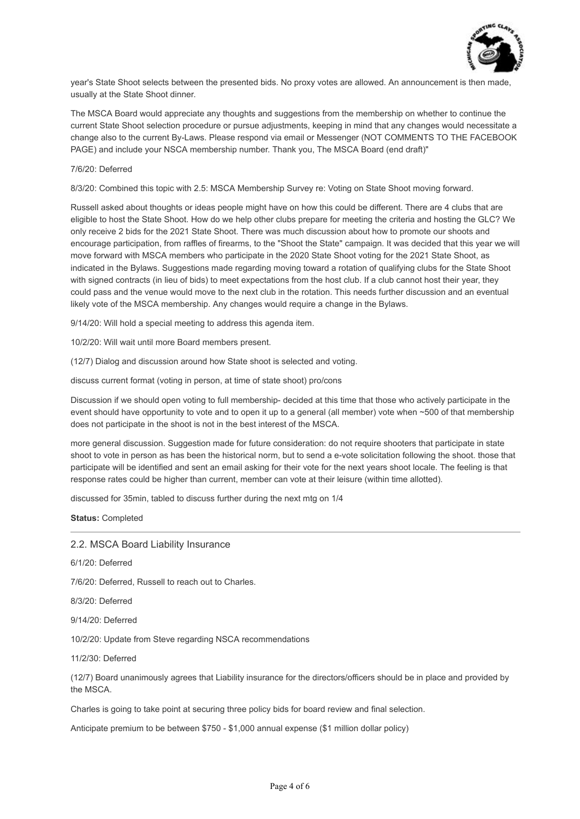

year's State Shoot selects between the presented bids. No proxy votes are allowed. An announcement is then made, usually at the State Shoot dinner.

The MSCA Board would appreciate any thoughts and suggestions from the membership on whether to continue the current State Shoot selection procedure or pursue adjustments, keeping in mind that any changes would necessitate a change also to the current By-Laws. Please respond via email or Messenger (NOT COMMENTS TO THE FACEBOOK PAGE) and include your NSCA membership number. Thank you, The MSCA Board (end draft)"

#### 7/6/20: Deferred

8/3/20: Combined this topic with 2.5: MSCA Membership Survey re: Voting on State Shoot moving forward.

Russell asked about thoughts or ideas people might have on how this could be different. There are 4 clubs that are eligible to host the State Shoot. How do we help other clubs prepare for meeting the criteria and hosting the GLC? We only receive 2 bids for the 2021 State Shoot. There was much discussion about how to promote our shoots and encourage participation, from raffles of firearms, to the "Shoot the State" campaign. It was decided that this year we will move forward with MSCA members who participate in the 2020 State Shoot voting for the 2021 State Shoot, as indicated in the Bylaws. Suggestions made regarding moving toward a rotation of qualifying clubs for the State Shoot with signed contracts (in lieu of bids) to meet expectations from the host club. If a club cannot host their year, they could pass and the venue would move to the next club in the rotation. This needs further discussion and an eventual likely vote of the MSCA membership. Any changes would require a change in the Bylaws.

9/14/20: Will hold a special meeting to address this agenda item.

10/2/20: Will wait until more Board members present.

(12/7) Dialog and discussion around how State shoot is selected and voting.

discuss current format (voting in person, at time of state shoot) pro/cons

Discussion if we should open voting to full membership- decided at this time that those who actively participate in the event should have opportunity to vote and to open it up to a general (all member) vote when ~500 of that membership does not participate in the shoot is not in the best interest of the MSCA.

more general discussion. Suggestion made for future consideration: do not require shooters that participate in state shoot to vote in person as has been the historical norm, but to send a e-vote solicitation following the shoot. those that participate will be identified and sent an email asking for their vote for the next years shoot locale. The feeling is that response rates could be higher than current, member can vote at their leisure (within time allotted).

discussed for 35min, tabled to discuss further during the next mtg on 1/4

**Status:** Completed

#### 2.2. MSCA Board Liability Insurance

6/1/20: Deferred

7/6/20: Deferred, Russell to reach out to Charles.

8/3/20: Deferred

9/14/20: Deferred

10/2/20: Update from Steve regarding NSCA recommendations

11/2/30: Deferred

(12/7) Board unanimously agrees that Liability insurance for the directors/officers should be in place and provided by the MSCA.

Charles is going to take point at securing three policy bids for board review and final selection.

Anticipate premium to be between \$750 - \$1,000 annual expense (\$1 million dollar policy)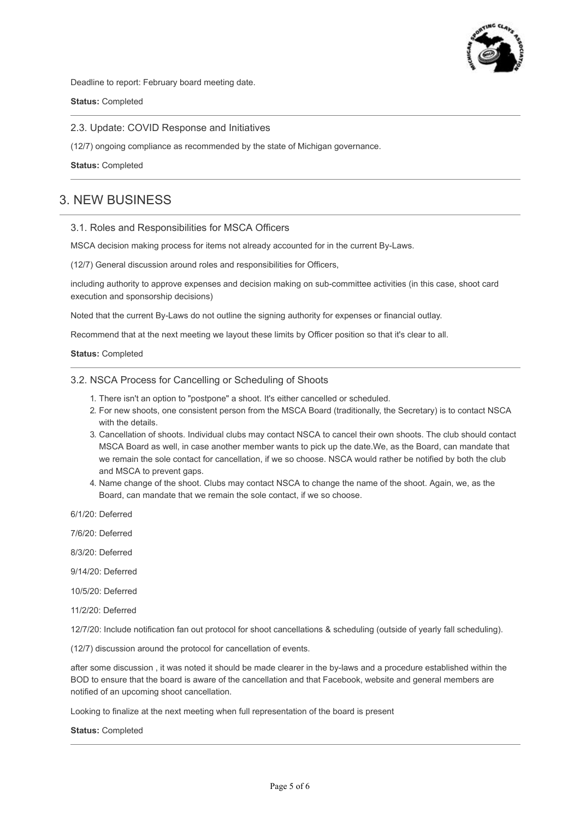

Deadline to report: February board meeting date.

**Status:** Completed

2.3. Update: COVID Response and Initiatives

(12/7) ongoing compliance as recommended by the state of Michigan governance.

**Status:** Completed

# 3. NEW BUSINESS

#### 3.1. Roles and Responsibilities for MSCA Officers

MSCA decision making process for items not already accounted for in the current By-Laws.

(12/7) General discussion around roles and responsibilities for Officers,

including authority to approve expenses and decision making on sub-committee activities (in this case, shoot card execution and sponsorship decisions)

Noted that the current By-Laws do not outline the signing authority for expenses or financial outlay.

Recommend that at the next meeting we layout these limits by Officer position so that it's clear to all.

**Status:** Completed

#### 3.2. NSCA Process for Cancelling or Scheduling of Shoots

- 1. There isn't an option to "postpone" a shoot. It's either cancelled or scheduled.
- 2. For new shoots, one consistent person from the MSCA Board (traditionally, the Secretary) is to contact NSCA with the details.
- 3. Cancellation of shoots. Individual clubs may contact NSCA to cancel their own shoots. The club should contact MSCA Board as well, in case another member wants to pick up the date.We, as the Board, can mandate that we remain the sole contact for cancellation, if we so choose. NSCA would rather be notified by both the club and MSCA to prevent gaps.
- 4. Name change of the shoot. Clubs may contact NSCA to change the name of the shoot. Again, we, as the Board, can mandate that we remain the sole contact, if we so choose.

6/1/20: Deferred

7/6/20: Deferred

8/3/20: Deferred

- 9/14/20: Deferred
- 10/5/20: Deferred
- 11/2/20: Deferred

12/7/20: Include notification fan out protocol for shoot cancellations & scheduling (outside of yearly fall scheduling).

(12/7) discussion around the protocol for cancellation of events.

after some discussion , it was noted it should be made clearer in the by-laws and a procedure established within the BOD to ensure that the board is aware of the cancellation and that Facebook, website and general members are notified of an upcoming shoot cancellation.

Looking to finalize at the next meeting when full representation of the board is present

**Status:** Completed